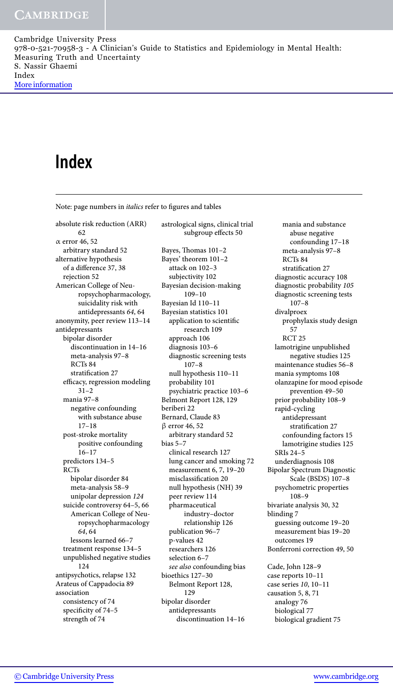# **Index**

Note: page numbers in *italics* refer to figures and tables

absolute risk reduction (ARR) 62 α error 46, 52 arbitrary standard 52 alternative hypothesis of a difference 37, 38 rejection 52 American College of Neuropsychopharmacology, suicidality risk with antidepressants *64*, 64 anonymity, peer review 113–14 antidepressants bipolar disorder discontinuation in 14–16 meta-analysis 97–8 RCTs 84 stratification 27 efficacy, regression modeling 31–2 mania 97–8 negative confounding with substance abuse 17–18 post-stroke mortality positive confounding 16–17 predictors 134–5 RCTs bipolar disorder 84 meta-analysis 58–9 unipolar depression *124* suicide controversy 64–5, 66 American College of Neuropsychopharmacology *64*, 64 lessons learned 66–7 treatment response 134–5 unpublished negative studies 124 antipsychotics, relapse 132 Arateus of Cappadocia 89 association consistency of 74 specificity of 74–5 strength of 74

astrological signs, clinical trial subgroup effects 50 Bayes, Thomas 101–2 Bayes' theorem 101–2 attack on 102–3 subjectivity 102 Bayesian decision-making 109–10 Bayesian Id 110–11 Bayesian statistics 101 application to scientific research 109 approach 106 diagnosis 103–6 diagnostic screening tests 107–8 null hypothesis 110–11 probability 101 psychiatric practice 103–6 Belmont Report 128, 129 beriberi 22 Bernard, Claude 83 β error 46, 52 arbitrary standard 52 bias 5–7 clinical research 127 lung cancer and smoking 72 measurement 6, 7, 19–20 misclassification 20 null hypothesis (NH) 39 peer review 114 pharmaceutical industry–doctor relationship 126 publication 96–7 p-values 42 researchers 126 selection 6–7 *see also* confounding bias bioethics 127–30 Belmont Report 128, 129 bipolar disorder antidepressants discontinuation 14–16

mania and substance abuse negative confounding 17–18 meta-analysis 97–8 RCTs 84 stratification 27 diagnostic accuracy 108 diagnostic probability *105* diagnostic screening tests 107–8 divalproex prophylaxis study design 57 RCT 25 lamotrigine unpublished negative studies 125 maintenance studies 56–8 mania symptoms 108 olanzapine for mood episode prevention 49–50 prior probability 108–9 rapid-cycling antidepressant stratification 27 confounding factors 15 lamotrigine studies 125 SRIs 24–5 underdiagnosis 108 Bipolar Spectrum Diagnostic Scale (BSDS) 107–8 psychometric properties 108–9 bivariate analysis 30, 32 blinding 7 guessing outcome 19–20 measurement bias 19–20 outcomes 19 Bonferroni correction 49, 50 Cade, John 128–9 case reports 10–11 case series *10*, 10–11 causation 5, 8, 71 analogy 76 biological 77

biological gradient 75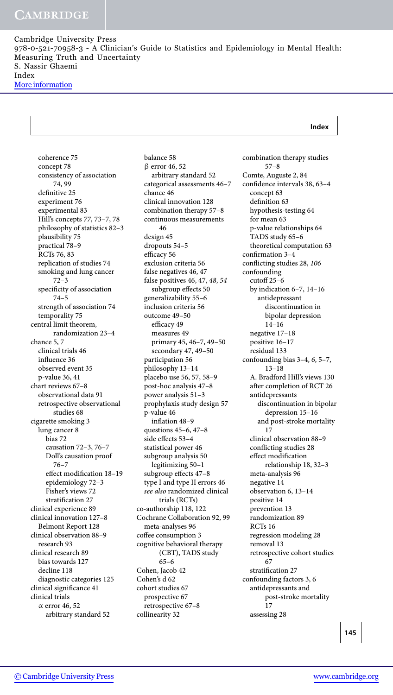### **Index**

coherence 75 concept 78 consistency of association 74, 99 definitive 25 experiment 76 experimental 83 Hill's concepts *77*, 73–7, 78 philosophy of statistics 82–3 plausibility 75 practical 78–9 RCTs 76, 83 replication of studies 74 smoking and lung cancer 72–3 specificity of association 74–5 strength of association 74 temporality 75 central limit theorem, randomization 23–4 chance 5, 7 clinical trials 46 influence 36 observed event 35 p-value 36, 41 chart reviews 67–8 observational data 91 retrospective observational studies 68 cigarette smoking 3 lung cancer 8 bias 72 causation 72–3, 76–7 Doll's causation proof 76–7 effect modification 18–19 epidemiology 72–3 Fisher's views 72 stratification 27 clinical experience 89 clinical innovation 127–8 Belmont Report 128 clinical observation 88–9 research 93 clinical research 89 bias towards 127 decline 118 diagnostic categories 125 clinical significance 41 clinical trials α error 46, 52 arbitrary standard 52

balance 58 β error 46, 52 arbitrary standard 52 categorical assessments 46–7 chance 46 clinical innovation 128 combination therapy 57–8 continuous measurements 46 design 45 dropouts 54–5 efficacy 56 exclusion criteria 56 false negatives 46, 47 false positives 46, 47, *48*, *54* subgroup effects 50 generalizability 55–6 inclusion criteria 56 outcome 49–50 efficacy 49 measures 49 primary 45, 46–7, 49–50 secondary 47, 49–50 participation 56 philosophy 13–14 placebo use 56, 57, 58–9 post-hoc analysis 47–8 power analysis 51–3 prophylaxis study design 57 p-value 46 inflation 48–9 questions 45–6, 47–8 side effects 53–4 statistical power 46 subgroup analysis 50 legitimizing 50–1 subgroup effects 47–8 type I and type II errors 46 *see also* randomized clinical trials (RCTs) co-authorship 118, 122 Cochrane Collaboration 92, 99 meta-analyses 96 coffee consumption 3 cognitive behavioral therapy (CBT), TADS study 65–6 Cohen, Jacob 42 Cohen's d 62 cohort studies 67 prospective 67 retrospective 67–8 collinearity 32

combination therapy studies 57–8 Comte, Auguste 2, 84 confidence intervals 38, 63–4 concept 63 definition 63 hypothesis-testing 64 for mean 63 p-value relationships 64 TADS study 65–6 theoretical computation 63 confirmation 3–4 conflicting studies 28, *106* confounding cutoff 25–6 by indication 6–7, 14–16 antidepressant discontinuation in bipolar depression 14–16 negative 17–18 positive 16–17 residual 133 confounding bias 3–4, *6*, 5–7, 13–18 A. Bradford Hill's views 130 after completion of RCT 26 antidepressants discontinuation in bipolar depression 15–16 and post-stroke mortality 17 clinical observation 88–9 conflicting studies 28 effect modification relationship 18, 32–3 meta-analysis 96 negative 14 observation 6, 13–14 positive 14 prevention 13 randomization 89 RCTs 16 regression modeling 28 removal 13 retrospective cohort studies 67 stratification 27 confounding factors 3, 6 antidepressants and post-stroke mortality 17 assessing 28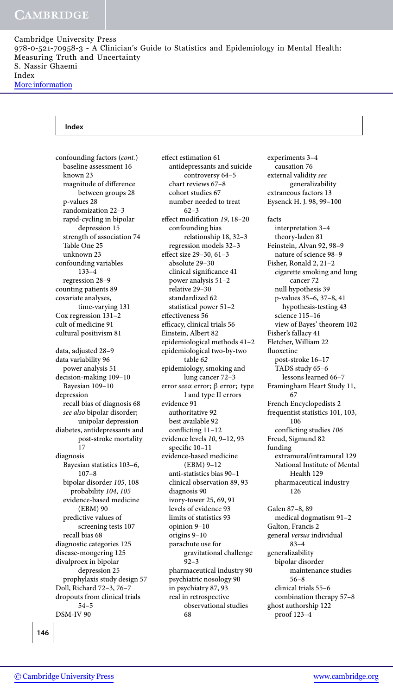#### **Index**

confounding factors (*cont.*) baseline assessment 16 known 23 magnitude of difference between groups 28 p-values 28 randomization 22–3 rapid-cycling in bipolar depression 15 strength of association 74 Table One 25 unknown 23 confounding variables 133–4 regression 28–9 counting patients 89 covariate analyses, time-varying 131 Cox regression 131–2 cult of medicine 91 cultural positivism 81 data, adjusted 28–9 data variability 96 power analysis 51 decision-making 109–10 Bayesian 109–10 depression recall bias of diagnosis 68 *see also* bipolar disorder; unipolar depression diabetes, antidepressants and post-stroke mortality 17 diagnosis Bayesian statistics 103–6, 107–8 bipolar disorder *105*, 108 probability *104*, *105* evidence-based medicine (EBM) 90 predictive values of screening tests 107 recall bias 68 diagnostic categories 125 disease-mongering 125 divalproex in bipolar depression 25 prophylaxis study design 57 Doll, Richard 72–3, 76–7 dropouts from clinical trials 54–5 DSM-IV 90

effect estimation 61 antidepressants and suicide controversy 64–5 chart reviews 67–8 cohort studies 67 number needed to treat 62–3 effect modification *19*, 18–20 confounding bias relationship 18, 32–3 regression models 32–3 effect size 29–30, 61–3 absolute 29–30 clinical significance 41 power analysis 51–2 relative 29–30 standardized 62 statistical power 51–2 effectiveness 56 efficacy, clinical trials 56 Einstein, Albert 82 epidemiological methods 41–2 epidemiological two-by-two table *62* epidemiology, smoking and lung cancer 72–3 error *see*α error; β error; type I and type II errors evidence 91 authoritative 92 best available 92 conflicting 11–12 evidence levels *10*, 9–12, 93 specific 10–11 evidence-based medicine (EBM) 9–12 anti-statistics bias 90–1 clinical observation 89, 93 diagnosis 90 ivory-tower 25, 69, 91 levels of evidence 93 limits of statistics 93 opinion 9–10 origins 9–10 parachute use for gravitational challenge 92–3 pharmaceutical industry 90 psychiatric nosology 90 in psychiatry 87, 93 real in retrospective observational studies 68

experiments 3–4 causation 76 external validity *see* generalizability extraneous factors 13 Eysenck H. J. 98, 99–100 facts interpretation 3–4 theory-laden 81 Feinstein, Alvan 92, 98–9 nature of science 98–9 Fisher, Ronald 2, 21–2 cigarette smoking and lung cancer 72 null hypothesis 39 p-values 35–6, 37–8, 41 hypothesis-testing 43 science 115-16 view of Bayes' theorem 102 Fisher's fallacy 41 Fletcher, William 22 fluoxetine post-stroke 16–17 TADS study 65–6 lessons learned 66–7 Framingham Heart Study 11, 67 French Encyclopedists 2 frequentist statistics 101, 103, 106 conflicting studies *106* Freud, Sigmund 82 funding extramural/intramural 129 National Institute of Mental Health 129 pharmaceutical industry 126 Galen 87–8, 89 medical dogmatism 91–2 Galton, Francis 2 general *versus* individual 83–4 generalizability bipolar disorder

maintenance studies 56–8 clinical trials 55–6 combination therapy 57–8 ghost authorship 122 proof 123–4

**146**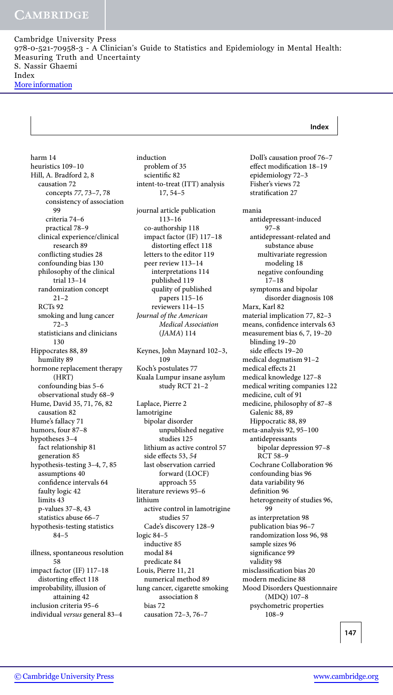#### **Index**

harm 14 heuristics 109–10 Hill, A. Bradford 2, 8 causation 72 concepts *77*, 73–7, 78 consistency of association 99 criteria 74–6 practical 78–9 clinical experience/clinical research 89 conflicting studies 28 confounding bias 130 philosophy of the clinical trial 13–14 randomization concept 21–2 RCTs 92 smoking and lung cancer 72–3 statisticians and clinicians 130 Hippocrates 88, 89 humility 89 hormone replacement therapy (HRT) confounding bias 5–6 observational study 68–9 Hume, David 35, 71, 76, 82 causation 82 Hume's fallacy 71 humors, four 87–8 hypotheses 3–4 fact relationship 81 generation 85 hypothesis-testing 3–4, 7, 85 assumptions 40 confidence intervals 64 faulty logic 42 limits 43 p-values 37–8, 43 statistics abuse 66–7 hypothesis-testing statistics 84–5 illness, spontaneous resolution 58 impact factor (IF) 117–18 distorting effect 118 improbability, illusion of attaining 42

inclusion criteria 95–6 individual *versus* general 83–4 induction problem of 35 scientific 82 intent-to-treat (ITT) analysis 17, 54–5

journal article publication 113–16 co-authorship 118 impact factor (IF) 117–18 distorting effect 118 letters to the editor 119 peer review 113–14 interpretations 114 published 119 quality of published papers 115–16 reviewers 114–15 *Journal of the American Medical Association* (*JAMA*) 114

Keynes, John Maynard 102–3, 109 Koch's postulates 77 Kuala Lumpur insane asylum study RCT 21–2

Laplace, Pierre 2 lamotrigine bipolar disorder unpublished negative studies 125 lithium as active control 57 side effects 53, *54* last observation carried forward (LOCF) approach 55 literature reviews 95–6 lithium active control in lamotrigine studies 57 Cade's discovery 128–9 logic 84–5 inductive 85 modal 84 predicate 84 Louis, Pierre 11, 21 numerical method 89 lung cancer, cigarette smoking association 8 bias 72 causation 72–3, 76–7

Doll's causation proof 76–7 effect modification 18–19 epidemiology 72–3 Fisher's views 72 stratification 27 mania antidepressant-induced 97–8 antidepressant-related and substance abuse multivariate regression modeling 18 negative confounding 17–18 symptoms and bipolar disorder diagnosis 108 Marx, Karl 82 material implication 77, 82–3 means, confidence intervals 63 measurement bias 6, 7, 19–20 blinding 19–20 side effects 19–20 medical dogmatism 91–2 medical effects 21 medical knowledge 127–8 medical writing companies 122 medicine, cult of 91 medicine, philosophy of 87–8 Galenic 88, 89 Hippocratic 88, 89 meta-analysis 92, 95–100 antidepressants bipolar depression 97–8 RCT 58–9 Cochrane Collaboration 96 confounding bias 96 data variability 96 definition 96 heterogeneity of studies 96, 99 as interpretation 98 publication bias 96–7 randomization loss 96, 98 sample sizes 96 significance 99 validity 98 misclassification bias 20 modern medicine 88 Mood Disorders Questionnaire (MDQ) 107–8 psychometric properties 108–9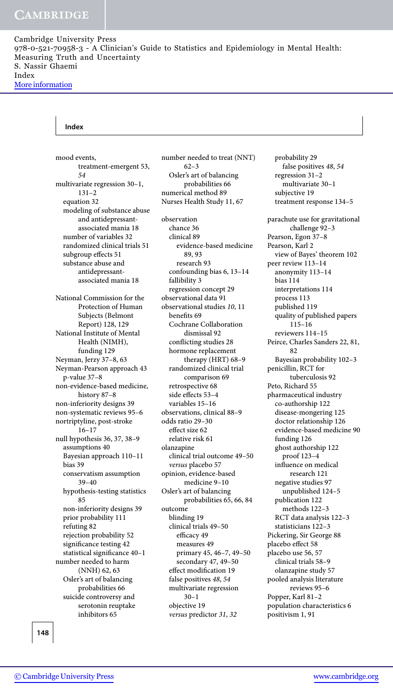#### **Index**

mood events, treatment-emergent 53, *54* multivariate regression 30–1, 131–2 equation 32 modeling of substance abuse and antidepressantassociated mania 18 number of variables 32 randomized clinical trials 51 subgroup effects 51 substance abuse and antidepressantassociated mania 18 National Commission for the Protection of Human Subjects (Belmont Report) 128, 129 National Institute of Mental Health (NIMH), funding 129 Neyman, Jerzy 37–8, 63 Neyman-Pearson approach 43 p-value 37–8 non-evidence-based medicine, history 87–8 non-inferiority designs 39 non-systematic reviews 95–6 nortriptyline, post-stroke 16–17 null hypothesis 36, 37, 38–9 assumptions 40 Bayesian approach 110–11 bias 39 conservatism assumption 39–40 hypothesis-testing statistics 85 non-inferiority designs 39 prior probability 111 refuting 82 rejection probability 52 significance testing 42 statistical significance 40–1 number needed to harm (NNH) 62, 63 Osler's art of balancing probabilities 66 suicide controversy and serotonin reuptake inhibitors 65

number needed to treat (NNT) 62–3 Osler's art of balancing probabilities 66 numerical method 89 Nurses Health Study 11, 67 observation chance 36 clinical 89 evidence-based medicine 89, 93 research 93 confounding bias 6, 13–14 fallibility 3 regression concept 29 observational data 91 observational studies *10*, 11 benefits 69 Cochrane Collaboration dismissal 92 conflicting studies 28 hormone replacement therapy (HRT) 68–9 randomized clinical trial comparison 69 retrospective 68 side effects 53–4 variables 15–16 observations, clinical 88–9 odds ratio 29–30 effect size 62 relative risk 61 olanzapine clinical trial outcome 49–50 *versus* placebo 57 opinion, evidence-based medicine 9–10 Osler's art of balancing probabilities 65, 66, 84 outcome blinding 19 clinical trials 49–50 efficacy 49 measures 49 primary 45, 46–7, 49–50 secondary 47, 49–50 effect modification 19 false positives *48*, *54* multivariate regression 30–1 objective 19 *versus* predictor *31*, *32*

probability 29 false positives *48*, *54* regression 31–2 multivariate 30–1 subjective 19 treatment response 134–5 parachute use for gravitational challenge 92–3 Pearson, Egon 37–8 Pearson, Karl 2 view of Bayes' theorem 102 peer review 113–14 anonymity 113–14 bias 114 interpretations 114 process 113 published 119 quality of published papers  $115 - 16$ reviewers 114–15 Peirce, Charles Sanders 22, 81, 82 Bayesian probability 102–3 penicillin, RCT for tuberculosis 92 Peto, Richard 55 pharmaceutical industry co-authorship 122 disease-mongering 125 doctor relationship 126 evidence-based medicine 90 funding 126 ghost authorship 122 proof 123–4 influence on medical research 121 negative studies 97 unpublished 124–5 publication 122 methods 122–3 RCT data analysis 122–3 statisticians 122–3 Pickering, Sir George 88 placebo effect 58 placebo use 56, 57 clinical trials 58–9 olanzapine study 57 pooled analysis literature reviews 95–6 Popper, Karl 81–2 population characteristics 6 positivism 1, 91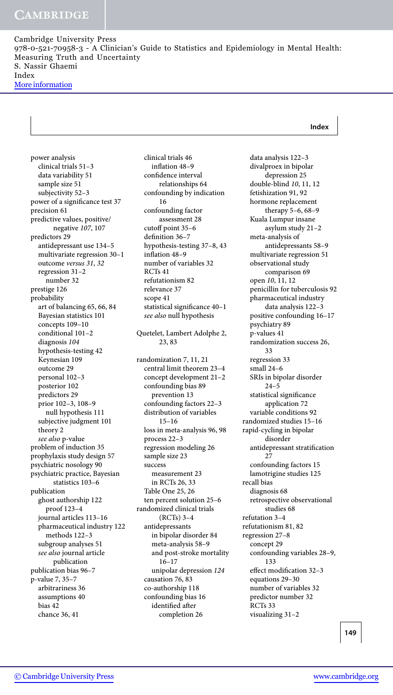#### **Index**

power analysis clinical trials 51–3 data variability 51 sample size 51 subjectivity 52–3 power of a significance test 37 precision 61 predictive values, positive/ negative *107*, 107 predictors 29 antidepressant use 134–5 multivariate regression 30–1 outcome *versus 31*, *32* regression 31–2 number 32 prestige 126 probability art of balancing 65, 66, 84 Bayesian statistics 101 concepts 109–10 conditional 101–2 diagnosis *104* hypothesis-testing 42 Keynesian 109 outcome 29 personal 102–3 posterior 102 predictors 29 prior 102–3, 108–9 null hypothesis 111 subjective judgment 101 theory 2 *see also* p-value problem of induction 35 prophylaxis study design 57 psychiatric nosology 90 psychiatric practice, Bayesian statistics 103–6 publication ghost authorship 122 proof 123–4 journal articles 113–16 pharmaceutical industry 122 methods 122–3 subgroup analyses 51 *see also* journal article publication publication bias 96–7 p-value 7, 35–7 arbitrariness 36 assumptions 40 bias 42 chance 36, 41

clinical trials 46 inflation 48–9 confidence interval relationships 64 confounding by indication 16 confounding factor assessment 28 cutoff point 35–6 definition 36–7 hypothesis-testing 37–8, 43 inflation 48–9 number of variables 32 RCTs 41 refutationism 82 relevance 37 scope 41 statistical significance 40–1 *see also* null hypothesis Quetelet, Lambert Adolphe 2, 23, 83 randomization 7, 11, 21 central limit theorem 23–4 concept development 21–2 confounding bias 89 prevention 13 confounding factors 22–3 distribution of variables 15–16 loss in meta-analysis 96, 98 process 22–3 regression modeling 26 sample size 23 success measurement 23 in RCTs 26, 33 Table One 25, 26 ten percent solution 25–6 randomized clinical trials (RCTs) 3–4 antidepressants in bipolar disorder 84 meta-analysis 58–9 and post-stroke mortality 16–17 unipolar depression *124* causation 76, 83 co-authorship 118 confounding bias 16 identified after completion 26

data analysis 122–3 divalproex in bipolar depression 25 double-blind *10*, 11, 12 fetishization 91, 92 hormone replacement therapy 5–6, 68–9 Kuala Lumpur insane asylum study 21–2 meta-analysis of antidepressants 58–9 multivariate regression 51 observational study comparison 69 open *10*, 11, 12 penicillin for tuberculosis 92 pharmaceutical industry data analysis 122–3 positive confounding 16–17 psychiatry 89 p-values 41 randomization success 26, 33 regression 33 small 24–6 SRIs in bipolar disorder 24–5 statistical significance application 72 variable conditions 92 randomized studies 15–16 rapid-cycling in bipolar disorder antidepressant stratification 27 confounding factors 15 lamotrigine studies 125 recall bias diagnosis 68 retrospective observational studies 68 refutation 3–4 refutationism 81, 82 regression 27–8 concept 29 confounding variables 28–9, 133 effect modification 32–3 equations 29–30 number of variables 32 predictor number 32 RCTs 33 visualizing 31–2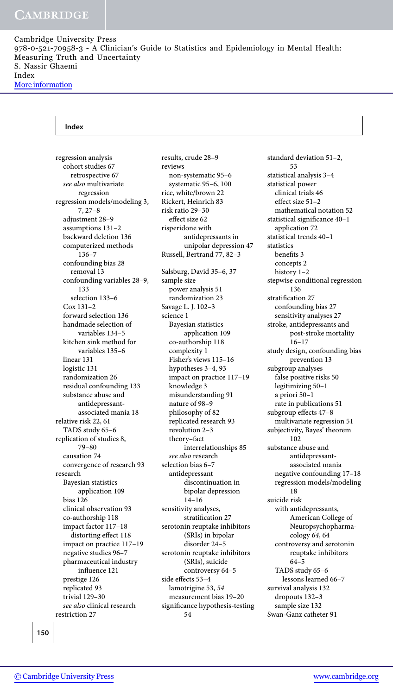#### **Index**

regression analysis cohort studies 67 retrospective 67 *see also* multivariate regression regression models/modeling 3, 7, 27–8 adjustment 28–9 assumptions 131–2 backward deletion 136 computerized methods 136–7 confounding bias 28 removal 13 confounding variables 28–9, 133 selection 133–6 Cox 131–2 forward selection 136 handmade selection of variables 134–5 kitchen sink method for variables 135–6 linear 131 logistic 131 randomization 26 residual confounding 133 substance abuse and antidepressantassociated mania 18 relative risk 22, 61 TADS study 65–6 replication of studies 8, 79–80 causation 74 convergence of research 93 research Bayesian statistics application 109 bias 126 clinical observation 93 co-authorship 118 impact factor 117–18 distorting effect 118 impact on practice 117–19 negative studies 96–7 pharmaceutical industry influence 121 prestige 126 replicated 93 trivial 129–30 *see also* clinical research restriction 27

results, crude 28–9 reviews non-systematic 95–6 systematic 95–6, 100 rice, white/brown 22 Rickert, Heinrich 83 risk ratio 29–30 effect size 62 risperidone with antidepressants in unipolar depression 47 Russell, Bertrand 77, 82–3 Salsburg, David 35–6, 37 sample size power analysis 51 randomization 23 Savage L. J. 102–3 science 1 Bayesian statistics application 109 co-authorship 118 complexity 1 Fisher's views 115–16 hypotheses 3–4, 93 impact on practice 117–19 knowledge 3 misunderstanding 91 nature of 98–9 philosophy of 82 replicated research 93 revolution 2–3 theory–fact interrelationships 85 *see also* research selection bias 6–7 antidepressant discontinuation in bipolar depression 14–16 sensitivity analyses, stratification 27 serotonin reuptake inhibitors (SRIs) in bipolar disorder 24–5 serotonin reuptake inhibitors (SRIs), suicide controversy 64–5 side effects 53–4 lamotrigine 53, *54* measurement bias 19–20 significance hypothesis-testing 54

standard deviation 51–2, 53 statistical analysis 3–4 statistical power clinical trials 46 effect size 51–2 mathematical notation 52 statistical significance 40–1 application 72 statistical trends 40–1 statistics benefits 3 concepts 2 history 1–2 stepwise conditional regression 136 stratification 27 confounding bias 27 sensitivity analyses 27 stroke, antidepressants and post-stroke mortality 16–17 study design, confounding bias prevention 13 subgroup analyses false positive risks 50 legitimizing 50–1 a priori 50–1 rate in publications 51 subgroup effects 47–8 multivariate regression 51 subjectivity, Bayes' theorem 102 substance abuse and antidepressantassociated mania negative confounding 17–18 regression models/modeling 18 suicide risk with antidepressants, American College of Neuropsychopharmacology *64*, 64 controversy and serotonin reuptake inhibitors 64–5 TADS study 65–6 lessons learned 66–7 survival analysis 132 dropouts 132–3 sample size 132 Swan-Ganz catheter 91

**150**